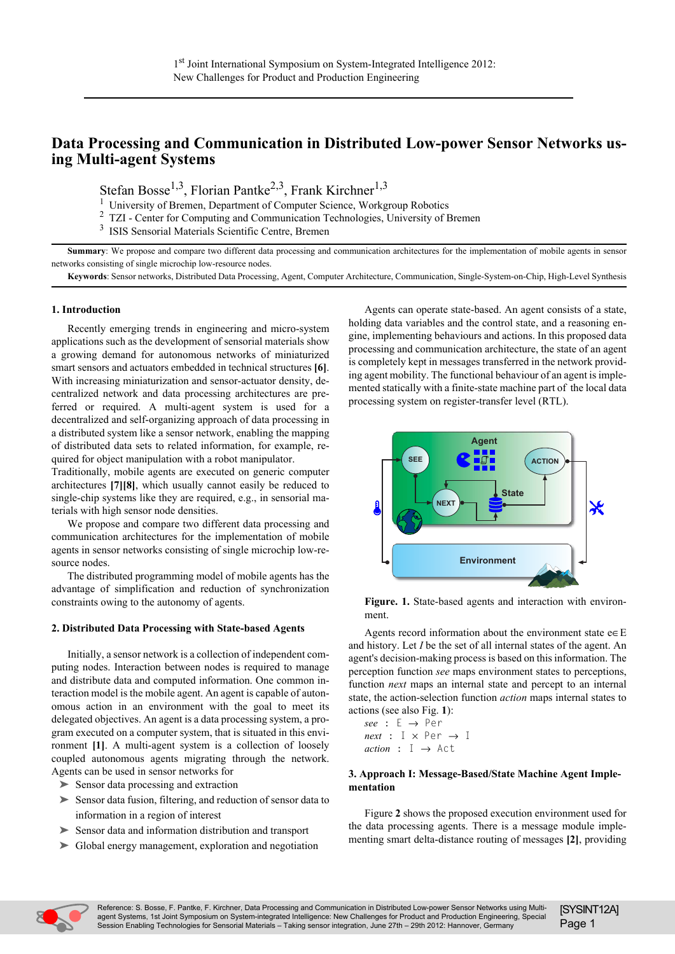# **Data Processing and Communication in Distributed Low-power Sensor Networks using Multi-agent Systems**

Stefan Bosse<sup>1,3</sup>, Florian Pantke<sup>2,3</sup>, Frank Kirchner<sup>1,3</sup>

<sup>1</sup> University of Bremen, Department of Computer Science, Workgroup Robotics

<sup>2</sup> TZI - Center for Computing and Communication Technologies, University of Bremen

<sup>3</sup> ISIS Sensorial Materials Scientific Centre, Bremen

**Summary**: We propose and compare two different data processing and communication architectures for the implementation of mobile agents in sensor networks consisting of single microchip low-resource nodes.

**Keywords**: Sensor networks, Distributed Data Processing, Agent, Computer Architecture, Communication, Single-System-on-Chip, High-Level Synthesis

## **1. Introduction**

Recently emerging trends in engineering and micro-system applications such as the development of sensorial materials show a growing demand for autonomous networks of miniaturized smart sensors and actuators embedded in technical structures **[\[6\]](#page-2-2)**. With increasing miniaturization and sensor-actuator density, decentralized network and data processing architectures are preferred or required. A multi-agent system is used for a decentralized and self-organizing approach of data processing in a distributed system like a sensor network, enabling the mapping of distributed data sets to related information, for example, required for object manipulation with a robot manipulator.

Traditionally, mobile agents are executed on generic computer architectures **[\[7\]](#page-2-3)[\[8\]](#page-2-4)**, which usually cannot easily be reduced to single-chip systems like they are required, e.g., in sensorial materials with high sensor node densities.

We propose and compare two different data processing and communication architectures for the implementation of mobile agents in sensor networks consisting of single microchip low-resource nodes.

The distributed programming model of mobile agents has the advantage of simplification and reduction of synchronization constraints owing to the autonomy of agents.

### **2. Distributed Data Processing with State-based Agents**

Initially, a sensor network is a collection of independent computing nodes. Interaction between nodes is required to manage and distribute data and computed information. One common interaction model is the mobile agent. An agent is capable of autonomous action in an environment with the goal to meet its delegated objectives. An agent is a data processing system, a program executed on a computer system, that is situated in this environment **[\[1\]](#page-2-0)**. A multi-agent system is a collection of loosely coupled autonomous agents migrating through the network. Agents can be used in sensor networks for

- $\blacktriangleright$  Sensor data processing and extraction
- $\triangleright$  Sensor data fusion, filtering, and reduction of sensor data to information in a region of interest
- $\triangleright$  Sensor data and information distribution and transport
- $\triangleright$  Global energy management, exploration and negotiation

Agents can operate state-based. An agent consists of a state, holding data variables and the control state, and a reasoning engine, implementing behaviours and actions. In this proposed data processing and communication architecture, the state of an agent is completely kept in messages transferred in the network providing agent mobility. The functional behaviour of an agent is implemented statically with a finite-state machine part of the local data processing system on register-transfer level (RTL).

<span id="page-0-1"></span>

<span id="page-0-0"></span>Figure. 1. State-based agents and interaction with environment.

Agents record information about the environment state  $e \in E$ and history. Let *I* be the set of all internal states of the agent. An agent's decision-making process is based on this information. The perception function *see* maps environment states to perceptions, function *next* maps an internal state and percept to an internal state, the action-selection function *action* maps internal states to actions (see also Fig. **[1](#page-0-0)**[\)](#page-0-1):

```
see : E → Per
next: I \times Per \rightarrow Iaction : I → Act
```
# **3. Approach I: Message-Based/State Machine Agent Implementation**

Figure **[2](#page-1-1)** [s](#page-1-0)hows the proposed execution environment used for the data processing agents. There is a message module implementing smart delta-distance routing of messages **[\[2\]](#page-2-1)**, providing

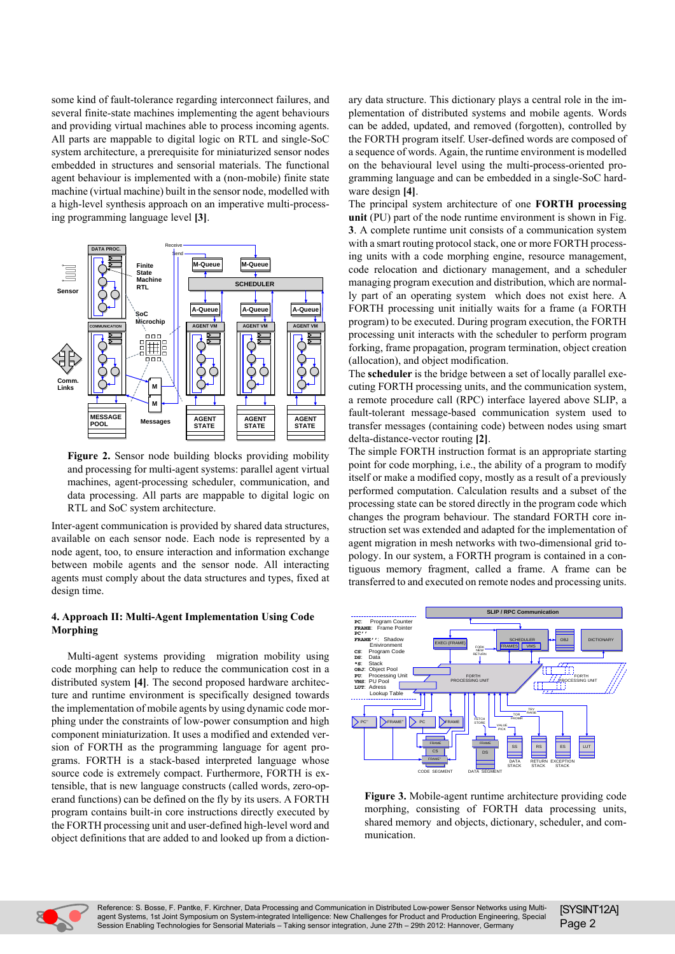some kind of fault-tolerance regarding interconnect failures, and several finite-state machines implementing the agent behaviours and providing virtual machines able to process incoming agents. All parts are mappable to digital logic on RTL and single-SoC system architecture, a prerequisite for miniaturized sensor nodes embedded in structures and sensorial materials. The functional agent behaviour is implemented with a (non-mobile) finite state machine (virtual machine) built in the sensor node, modelled with a high-level synthesis approach on an imperative multi-processing programming language level **[\[3\]](#page-2-5)**.

<span id="page-1-0"></span>

<span id="page-1-1"></span>**Figure 2.** Sensor node building blocks providing mobility and processing for multi-agent systems: parallel agent virtual machines, agent-processing scheduler, communication, and data processing. All parts are mappable to digital logic on RTL and SoC system architecture.

Inter-agent communication is provided by shared data structures, available on each sensor node. Each node is represented by a node agent, too, to ensure interaction and information exchange between mobile agents and the sensor node. All interacting agents must comply about the data structures and types, fixed at design time.

# **4. Approach II: Multi-Agent Implementation Using Code Morphing**

Multi-agent systems providing migration mobility using code morphing can help to reduce the communication cost in a distributed system **[\[4\]](#page-2-6)**. The second proposed hardware architecture and runtime environment is specifically designed towards the implementation of mobile agents by using dynamic code morphing under the constraints of low-power consumption and high component miniaturization. It uses a modified and extended version of FORTH as the programming language for agent programs. FORTH is a stack-based interpreted language whose source code is extremely compact. Furthermore, FORTH is extensible, that is new language constructs (called words, zero-operand functions) can be defined on the fly by its users. A FORTH program contains built-in core instructions directly executed by the FORTH processing unit and user-defined high-level word and object definitions that are added to and looked up from a dictionary data structure. This dictionary plays a central role in the implementation of distributed systems and mobile agents. Words can be added, updated, and removed (forgotten), controlled by the FORTH program itself. User-defined words are composed of a sequence of words. Again, the runtime environment is modelled on the behavioural level using the multi-process-oriented programming language and can be embedded in a single-SoC hardware design **[\[4\]](#page-2-6)**.

The principal system architecture of one **FORTH processing unit** (PU) part of the node runtime environment is shown in Fig. **[3](#page-1-2)**[.](#page-1-3) A complete runtime unit consists of a communication system with a smart routing protocol stack, one or more FORTH processing units with a code morphing engine, resource management, code relocation and dictionary management, and a scheduler managing program execution and distribution, which are normally part of an operating system which does not exist here. A FORTH processing unit initially waits for a frame (a FORTH program) to be executed. During program execution, the FORTH processing unit interacts with the scheduler to perform program forking, frame propagation, program termination, object creation (allocation), and object modification.

The **scheduler** is the bridge between a set of locally parallel executing FORTH processing units, and the communication system, a remote procedure call (RPC) interface layered above SLIP, a fault-tolerant message-based communication system used to transfer messages (containing code) between nodes using smart delta-distance-vector routing **[\[2\]](#page-2-1)**.

The simple FORTH instruction format is an appropriate starting point for code morphing, i.e., the ability of a program to modify itself or make a modified copy, mostly as a result of a previously performed computation. Calculation results and a subset of the processing state can be stored directly in the program code which changes the program behaviour. The standard FORTH core instruction set was extended and adapted for the implementation of agent migration in mesh networks with two-dimensional grid topology. In our system, a FORTH program is contained in a contiguous memory fragment, called a frame. A frame can be transferred to and executed on remote nodes and processing units.

<span id="page-1-3"></span>

<span id="page-1-2"></span>**Figure 3.** Mobile-agent runtime architecture providing code morphing, consisting of FORTH data processing units, shared memory and objects, dictionary, scheduler, and communication.